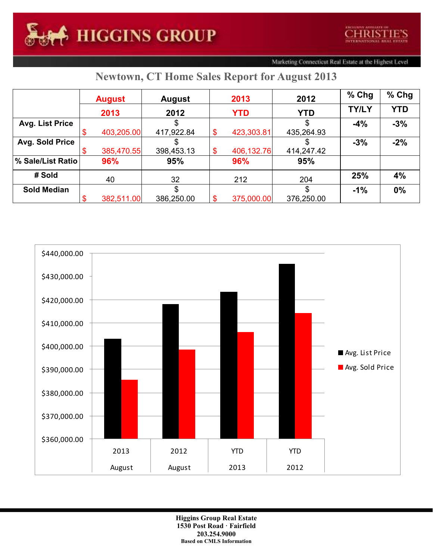Marketing Connecticut Real Estate at the Highest Level

## **Newtown, CT Home Sales Report for August 2013**

|                    | <b>August</b> |            | <b>August</b> |    | 2013       | 2012       | $%$ Chg      | % Chg      |
|--------------------|---------------|------------|---------------|----|------------|------------|--------------|------------|
|                    |               | 2013       | 2012          |    | <b>YTD</b> | <b>YTD</b> | <b>TY/LY</b> | <b>YTD</b> |
| Avg. List Price    |               |            |               |    |            |            | $-4%$        | $-3%$      |
|                    |               | 403,205.00 | 417,922.84    |    | 423,303.81 | 435,264.93 |              |            |
| Avg. Sold Price    |               |            |               |    |            |            | $-3%$        | $-2%$      |
|                    |               | 385,470.55 | 398,453.13    | \$ | 406,132.76 | 414,247.42 |              |            |
| % Sale/List Ratio  |               | 96%        | 95%           |    | 96%        | 95%        |              |            |
| # Sold             |               | 40         | 32            |    | 212        | 204        | 25%          | 4%         |
| <b>Sold Median</b> |               |            |               |    |            |            | $-1%$        | 0%         |
|                    |               | 382,511.00 | 386,250.00    |    | 375,000.00 | 376,250.00 |              |            |



**Higgins Group Real Estate 1530 Post Road · Fairfield 203.254.9000 Based on CMLS Information**